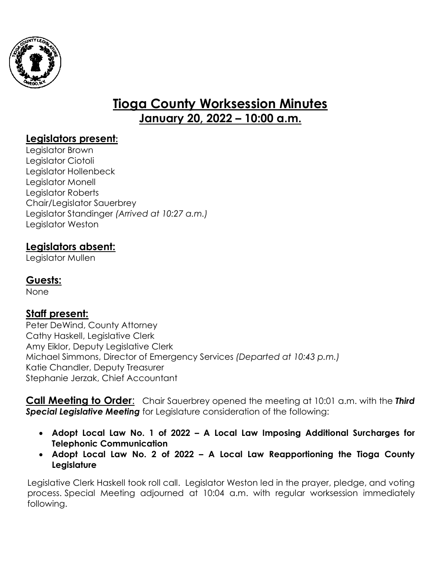

# **Tioga County Worksession Minutes January 20, 2022 – 10:00 a.m.**

## **Legislators present:**

Legislator Brown Legislator Ciotoli Legislator Hollenbeck Legislator Monell Legislator Roberts Chair/Legislator Sauerbrey Legislator Standinger *(Arrived at 10:27 a.m.)* Legislator Weston

## **Legislators absent:**

Legislator Mullen

## **Guests:**

None

## **Staff present:**

Peter DeWind, County Attorney Cathy Haskell, Legislative Clerk Amy Eiklor, Deputy Legislative Clerk Michael Simmons, Director of Emergency Services *(Departed at 10:43 p.m.)* Katie Chandler, Deputy Treasurer Stephanie Jerzak, Chief Accountant

**Call Meeting to Order**: Chair Sauerbrey opened the meeting at 10:01 a.m. with the *Third Special Legislative Meeting* for Legislature consideration of the following:

- **Adopt Local Law No. 1 of 2022 A Local Law Imposing Additional Surcharges for Telephonic Communication**
- **Adopt Local Law No. 2 of 2022 A Local Law Reapportioning the Tioga County Legislature**

Legislative Clerk Haskell took roll call. Legislator Weston led in the prayer, pledge, and voting process. Special Meeting adjourned at 10:04 a.m. with regular worksession immediately following.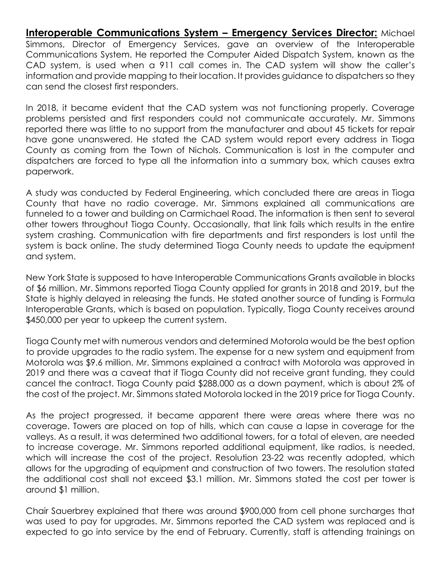**Interoperable Communications System – Emergency Services Director:** Michael Simmons, Director of Emergency Services, gave an overview of the Interoperable Communications System. He reported the Computer Aided Dispatch System, known as the CAD system, is used when a 911 call comes in. The CAD system will show the caller's information and provide mapping to their location. It provides guidance to dispatchers so they can send the closest first responders.

In 2018, it became evident that the CAD system was not functioning properly. Coverage problems persisted and first responders could not communicate accurately. Mr. Simmons reported there was little to no support from the manufacturer and about 45 tickets for repair have gone unanswered. He stated the CAD system would report every address in Tioga County as coming from the Town of Nichols. Communication is lost in the computer and dispatchers are forced to type all the information into a summary box, which causes extra paperwork.

A study was conducted by Federal Engineering, which concluded there are areas in Tioga County that have no radio coverage. Mr. Simmons explained all communications are funneled to a tower and building on Carmichael Road. The information is then sent to several other towers throughout Tioga County. Occasionally, that link fails which results in the entire system crashing. Communication with fire departments and first responders is lost until the system is back online. The study determined Tioga County needs to update the equipment and system.

New York State is supposed to have Interoperable Communications Grants available in blocks of \$6 million. Mr. Simmons reported Tioga County applied for grants in 2018 and 2019, but the State is highly delayed in releasing the funds. He stated another source of funding is Formula Interoperable Grants, which is based on population. Typically, Tioga County receives around \$450,000 per year to upkeep the current system.

Tioga County met with numerous vendors and determined Motorola would be the best option to provide upgrades to the radio system. The expense for a new system and equipment from Motorola was \$9.6 million. Mr. Simmons explained a contract with Motorola was approved in 2019 and there was a caveat that if Tioga County did not receive grant funding, they could cancel the contract. Tioga County paid \$288,000 as a down payment, which is about 2% of the cost of the project. Mr. Simmons stated Motorola locked in the 2019 price for Tioga County.

As the project progressed, it became apparent there were areas where there was no coverage. Towers are placed on top of hills, which can cause a lapse in coverage for the valleys. As a result, it was determined two additional towers, for a total of eleven, are needed to increase coverage. Mr. Simmons reported additional equipment, like radios, is needed, which will increase the cost of the project. Resolution 23-22 was recently adopted, which allows for the upgrading of equipment and construction of two towers. The resolution stated the additional cost shall not exceed \$3.1 million. Mr. Simmons stated the cost per tower is around \$1 million.

Chair Sauerbrey explained that there was around \$900,000 from cell phone surcharges that was used to pay for upgrades. Mr. Simmons reported the CAD system was replaced and is expected to go into service by the end of February. Currently, staff is attending trainings on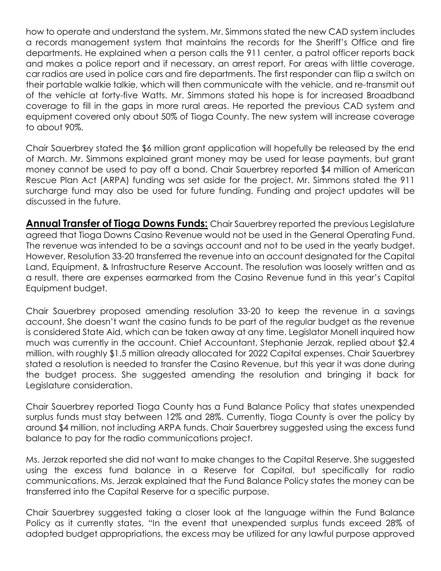how to operate and understand the system. Mr. Simmons stated the new CAD system includes a records management system that maintains the records for the Sheriff's Office and fire departments. He explained when a person calls the 911 center, a patrol officer reports back and makes a police report and if necessary, an arrest report. For areas with little coverage, car radios are used in police cars and fire departments. The first responder can flip a switch on their portable walkie talkie, which will then communicate with the vehicle, and re-transmit out of the vehicle at forty-five Watts. Mr. Simmons stated his hope is for increased Broadband coverage to fill in the gaps in more rural areas. He reported the previous CAD system and equipment covered only about 50% of Tioga County. The new system will increase coverage to about 90%.

Chair Sauerbrey stated the \$6 million grant application will hopefully be released by the end of March. Mr. Simmons explained grant money may be used for lease payments, but grant money cannot be used to pay off a bond. Chair Sauerbrey reported \$4 million of American Rescue Plan Act (ARPA) funding was set aside for the project. Mr. Simmons stated the 911 surcharge fund may also be used for future funding. Funding and project updates will be discussed in the future.

**Annual Transfer of Tioga Downs Funds:** Chair Sauerbrey reported the previous Legislature agreed that Tioga Downs Casino Revenue would not be used in the General Operating Fund. The revenue was intended to be a savings account and not to be used in the yearly budget. However, Resolution 33-20 transferred the revenue into an account designated for the Capital Land, Equipment, & Infrastructure Reserve Account. The resolution was loosely written and as a result, there are expenses earmarked from the Casino Revenue fund in this year's Capital Equipment budget.

Chair Sauerbrey proposed amending resolution 33-20 to keep the revenue in a savings account. She doesn't want the casino funds to be part of the regular budget as the revenue is considered State Aid, which can be taken away at any time. Legislator Monell inquired how much was currently in the account. Chief Accountant, Stephanie Jerzak, replied about \$2.4 million, with roughly \$1.5 million already allocated for 2022 Capital expenses. Chair Sauerbrey stated a resolution is needed to transfer the Casino Revenue, but this year it was done during the budget process. She suggested amending the resolution and bringing it back for Legislature consideration.

Chair Sauerbrey reported Tioga County has a Fund Balance Policy that states unexpended surplus funds must stay between 12% and 28%. Currently, Tioga County is over the policy by around \$4 million, not including ARPA funds. Chair Sauerbrey suggested using the excess fund balance to pay for the radio communications project.

Ms. Jerzak reported she did not want to make changes to the Capital Reserve. She suggested using the excess fund balance in a Reserve for Capital, but specifically for radio communications. Ms. Jerzak explained that the Fund Balance Policy states the money can be transferred into the Capital Reserve for a specific purpose.

Chair Sauerbrey suggested taking a closer look at the language within the Fund Balance Policy as it currently states, "In the event that unexpended surplus funds exceed 28% of adopted budget appropriations, the excess may be utilized for any lawful purpose approved